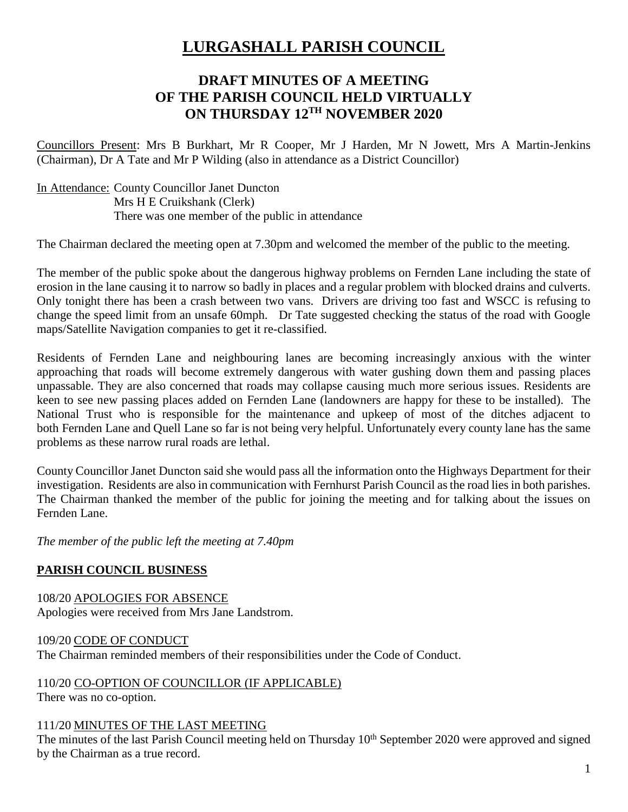# **LURGASHALL PARISH COUNCIL**

# **DRAFT MINUTES OF A MEETING OF THE PARISH COUNCIL HELD VIRTUALLY ON THURSDAY 12TH NOVEMBER 2020**

Councillors Present: Mrs B Burkhart, Mr R Cooper, Mr J Harden, Mr N Jowett, Mrs A Martin-Jenkins (Chairman), Dr A Tate and Mr P Wilding (also in attendance as a District Councillor)

In Attendance: County Councillor Janet Duncton Mrs H E Cruikshank (Clerk) There was one member of the public in attendance

The Chairman declared the meeting open at 7.30pm and welcomed the member of the public to the meeting.

The member of the public spoke about the dangerous highway problems on Fernden Lane including the state of erosion in the lane causing it to narrow so badly in places and a regular problem with blocked drains and culverts. Only tonight there has been a crash between two vans. Drivers are driving too fast and WSCC is refusing to change the speed limit from an unsafe 60mph. Dr Tate suggested checking the status of the road with Google maps/Satellite Navigation companies to get it re-classified.

Residents of Fernden Lane and neighbouring lanes are becoming increasingly anxious with the winter approaching that roads will become extremely dangerous with water gushing down them and passing places unpassable. They are also concerned that roads may collapse causing much more serious issues. Residents are keen to see new passing places added on Fernden Lane (landowners are happy for these to be installed). The National Trust who is responsible for the maintenance and upkeep of most of the ditches adjacent to both Fernden Lane and Quell Lane so far is not being very helpful. Unfortunately every county lane has the same problems as these narrow rural roads are lethal.

County Councillor Janet Duncton said she would pass all the information onto the Highways Department for their investigation. Residents are also in communication with Fernhurst Parish Council as the road lies in both parishes. The Chairman thanked the member of the public for joining the meeting and for talking about the issues on Fernden Lane.

*The member of the public left the meeting at 7.40pm*

# **PARISH COUNCIL BUSINESS**

108/20 APOLOGIES FOR ABSENCE Apologies were received from Mrs Jane Landstrom.

### 109/20 CODE OF CONDUCT

The Chairman reminded members of their responsibilities under the Code of Conduct.

110/20 CO-OPTION OF COUNCILLOR (IF APPLICABLE) There was no co-option.

#### 111/20 MINUTES OF THE LAST MEETING

The minutes of the last Parish Council meeting held on Thursday 10<sup>th</sup> September 2020 were approved and signed by the Chairman as a true record.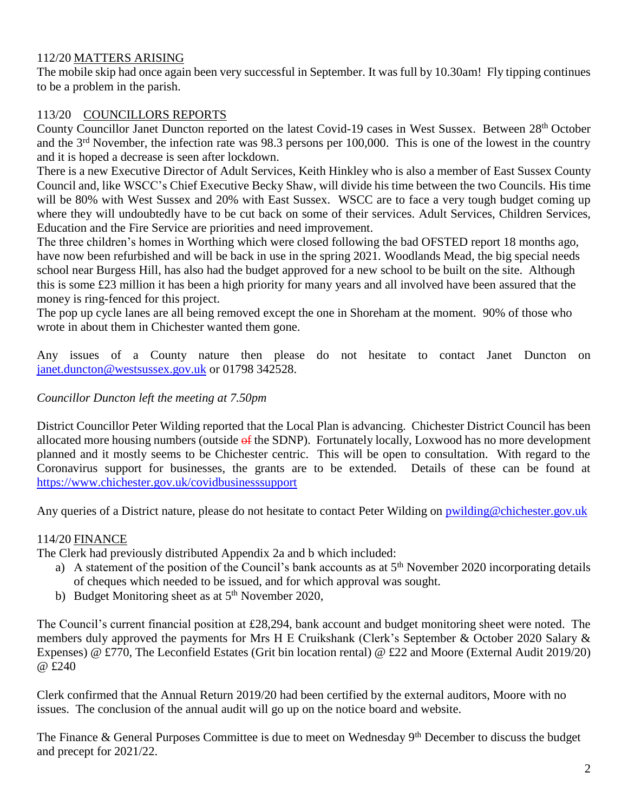# 112/20 MATTERS ARISING

The mobile skip had once again been very successful in September. It was full by 10.30am! Fly tipping continues to be a problem in the parish.

# 113/20 COUNCILLORS REPORTS

County Councillor Janet Duncton reported on the latest Covid-19 cases in West Sussex. Between 28<sup>th</sup> October and the 3rd November, the infection rate was 98.3 persons per 100,000. This is one of the lowest in the country and it is hoped a decrease is seen after lockdown.

There is a new Executive Director of Adult Services, Keith Hinkley who is also a member of East Sussex County Council and, like WSCC's Chief Executive Becky Shaw, will divide his time between the two Councils. His time will be 80% with West Sussex and 20% with East Sussex. WSCC are to face a very tough budget coming up where they will undoubtedly have to be cut back on some of their services. Adult Services, Children Services, Education and the Fire Service are priorities and need improvement.

The three children's homes in Worthing which were closed following the bad OFSTED report 18 months ago, have now been refurbished and will be back in use in the spring 2021. Woodlands Mead, the big special needs school near Burgess Hill, has also had the budget approved for a new school to be built on the site. Although this is some £23 million it has been a high priority for many years and all involved have been assured that the money is ring-fenced for this project.

The pop up cycle lanes are all being removed except the one in Shoreham at the moment. 90% of those who wrote in about them in Chichester wanted them gone.

Any issues of a County nature then please do not hesitate to contact Janet Duncton on [janet.duncton@westsussex.gov.uk](mailto:janet.duncton@westsussex.gov.uk) or 01798 342528.

### *Councillor Duncton left the meeting at 7.50pm*

District Councillor Peter Wilding reported that the Local Plan is advancing. Chichester District Council has been allocated more housing numbers (outside  $\theta$  fine SDNP). Fortunately locally, Loxwood has no more development planned and it mostly seems to be Chichester centric. This will be open to consultation. With regard to the Coronavirus support for businesses, the grants are to be extended. Details of these can be found at <https://www.chichester.gov.uk/covidbusinesssupport>

Any queries of a District nature, please do not hesitate to contact Peter Wilding on [pwilding@chichester.gov.uk](mailto:pwilding@chichester.gov.uk)

### 114/20 FINANCE

The Clerk had previously distributed Appendix 2a and b which included:

- a) A statement of the position of the Council's bank accounts as at  $5<sup>th</sup>$  November 2020 incorporating details of cheques which needed to be issued, and for which approval was sought.
- b) Budget Monitoring sheet as at 5<sup>th</sup> November 2020,

The Council's current financial position at £28,294, bank account and budget monitoring sheet were noted. The members duly approved the payments for Mrs H E Cruikshank (Clerk's September & October 2020 Salary & Expenses) @ £770, The Leconfield Estates (Grit bin location rental) @ £22 and Moore (External Audit 2019/20) @ £240

Clerk confirmed that the Annual Return 2019/20 had been certified by the external auditors, Moore with no issues. The conclusion of the annual audit will go up on the notice board and website.

The Finance & General Purposes Committee is due to meet on Wednesday 9<sup>th</sup> December to discuss the budget and precept for 2021/22.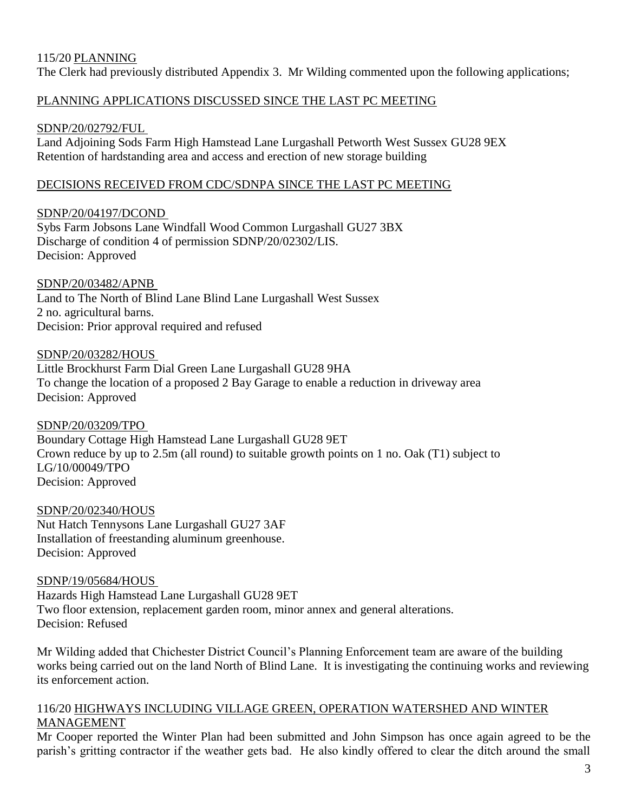### 115/20 PLANNING

The Clerk had previously distributed Appendix 3. Mr Wilding commented upon the following applications;

### PLANNING APPLICATIONS DISCUSSED SINCE THE LAST PC MEETING

### SDNP/20/02792/FUL

Land Adjoining Sods Farm High Hamstead Lane Lurgashall Petworth West Sussex GU28 9EX Retention of hardstanding area and access and erection of new storage building

### DECISIONS RECEIVED FROM CDC/SDNPA SINCE THE LAST PC MEETING

### SDNP/20/04197/DCOND

Sybs Farm Jobsons Lane Windfall Wood Common Lurgashall GU27 3BX Discharge of condition 4 of permission SDNP/20/02302/LIS. Decision: Approved

### SDNP/20/03482/APNB

Land to The North of Blind Lane Blind Lane Lurgashall West Sussex 2 no. agricultural barns. Decision: Prior approval required and refused

### SDNP/20/03282/HOUS

Little Brockhurst Farm Dial Green Lane Lurgashall GU28 9HA To change the location of a proposed 2 Bay Garage to enable a reduction in driveway area Decision: Approved

# SDNP/20/03209/TPO

Boundary Cottage High Hamstead Lane Lurgashall GU28 9ET Crown reduce by up to 2.5m (all round) to suitable growth points on 1 no. Oak (T1) subject to LG/10/00049/TPO Decision: Approved

# SDNP/20/02340/HOUS

Nut Hatch Tennysons Lane Lurgashall GU27 3AF Installation of freestanding aluminum greenhouse. Decision: Approved

### SDNP/19/05684/HOUS

Hazards High Hamstead Lane Lurgashall GU28 9ET Two floor extension, replacement garden room, minor annex and general alterations. Decision: Refused

Mr Wilding added that Chichester District Council's Planning Enforcement team are aware of the building works being carried out on the land North of Blind Lane. It is investigating the continuing works and reviewing its enforcement action.

#### 116/20 HIGHWAYS INCLUDING VILLAGE GREEN, OPERATION WATERSHED AND WINTER MANAGEMENT

Mr Cooper reported the Winter Plan had been submitted and John Simpson has once again agreed to be the parish's gritting contractor if the weather gets bad. He also kindly offered to clear the ditch around the small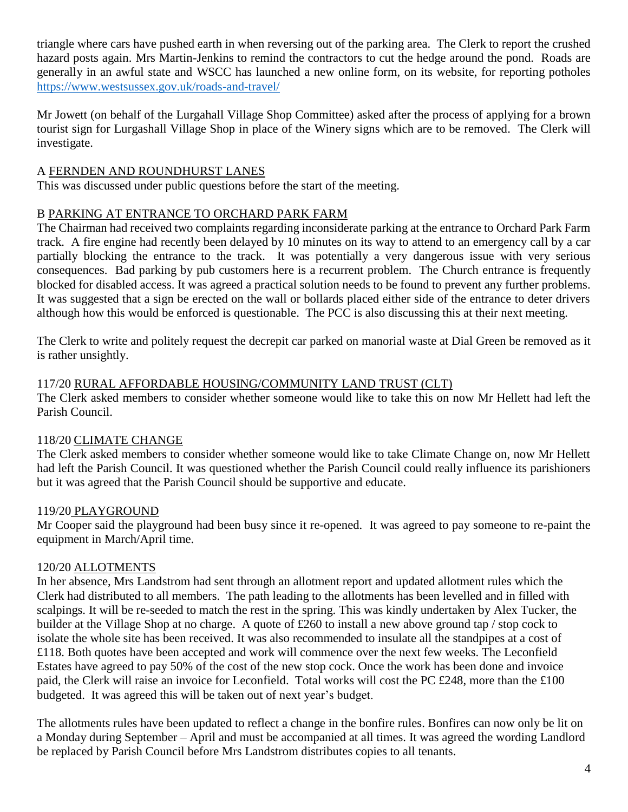triangle where cars have pushed earth in when reversing out of the parking area. The Clerk to report the crushed hazard posts again. Mrs Martin-Jenkins to remind the contractors to cut the hedge around the pond. Roads are generally in an awful state and WSCC has launched a new online form, on its website, for reporting potholes <https://www.westsussex.gov.uk/roads-and-travel/>

Mr Jowett (on behalf of the Lurgahall Village Shop Committee) asked after the process of applying for a brown tourist sign for Lurgashall Village Shop in place of the Winery signs which are to be removed. The Clerk will investigate.

# A FERNDEN AND ROUNDHURST LANES

This was discussed under public questions before the start of the meeting.

# B PARKING AT ENTRANCE TO ORCHARD PARK FARM

The Chairman had received two complaints regarding inconsiderate parking at the entrance to Orchard Park Farm track. A fire engine had recently been delayed by 10 minutes on its way to attend to an emergency call by a car partially blocking the entrance to the track. It was potentially a very dangerous issue with very serious consequences. Bad parking by pub customers here is a recurrent problem. The Church entrance is frequently blocked for disabled access. It was agreed a practical solution needs to be found to prevent any further problems. It was suggested that a sign be erected on the wall or bollards placed either side of the entrance to deter drivers although how this would be enforced is questionable. The PCC is also discussing this at their next meeting.

The Clerk to write and politely request the decrepit car parked on manorial waste at Dial Green be removed as it is rather unsightly.

# 117/20 RURAL AFFORDABLE HOUSING/COMMUNITY LAND TRUST (CLT)

The Clerk asked members to consider whether someone would like to take this on now Mr Hellett had left the Parish Council.

# 118/20 CLIMATE CHANGE

The Clerk asked members to consider whether someone would like to take Climate Change on, now Mr Hellett had left the Parish Council. It was questioned whether the Parish Council could really influence its parishioners but it was agreed that the Parish Council should be supportive and educate.

# 119/20 PLAYGROUND

Mr Cooper said the playground had been busy since it re-opened. It was agreed to pay someone to re-paint the equipment in March/April time.

# 120/20 ALLOTMENTS

In her absence, Mrs Landstrom had sent through an allotment report and updated allotment rules which the Clerk had distributed to all members. The path leading to the allotments has been levelled and in filled with scalpings. It will be re-seeded to match the rest in the spring. This was kindly undertaken by Alex Tucker, the builder at the Village Shop at no charge. A quote of £260 to install a new above ground tap / stop cock to isolate the whole site has been received. It was also recommended to insulate all the standpipes at a cost of £118. Both quotes have been accepted and work will commence over the next few weeks. The Leconfield Estates have agreed to pay 50% of the cost of the new stop cock. Once the work has been done and invoice paid, the Clerk will raise an invoice for Leconfield. Total works will cost the PC £248, more than the £100 budgeted. It was agreed this will be taken out of next year's budget.

The allotments rules have been updated to reflect a change in the bonfire rules. Bonfires can now only be lit on a Monday during September – April and must be accompanied at all times. It was agreed the wording Landlord be replaced by Parish Council before Mrs Landstrom distributes copies to all tenants.